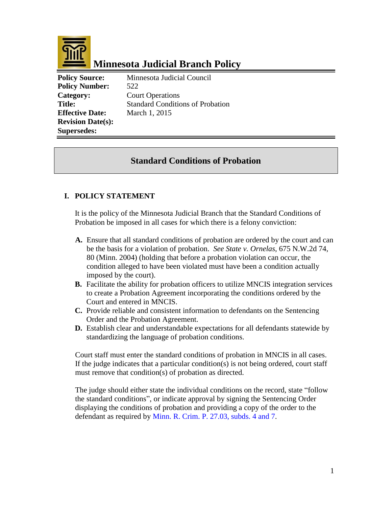

# **Minnesota Judicial Branch Policy**

**Policy Source:** Minnesota Judicial Council **Policy Number:** 522 **Category:** Court Operations **Title:** Standard Conditions of Probation **Effective Date:** March 1, 2015 **Revision Date(s): Supersedes:** 

# **Standard Conditions of Probation**

## **I. POLICY STATEMENT**

It is the policy of the Minnesota Judicial Branch that the Standard Conditions of Probation be imposed in all cases for which there is a felony conviction:

- **A.** Ensure that all standard conditions of probation are ordered by the court and can be the basis for a violation of probation. *See State v. Ornelas*, 675 N.W.2d 74, 80 (Minn. 2004) (holding that before a probation violation can occur, the condition alleged to have been violated must have been a condition actually imposed by the court).
- **B.** Facilitate the ability for probation officers to utilize MNCIS integration services to create a Probation Agreement incorporating the conditions ordered by the Court and entered in MNCIS.
- **C.** Provide reliable and consistent information to defendants on the Sentencing Order and the Probation Agreement.
- **D.** Establish clear and understandable expectations for all defendants statewide by standardizing the language of probation conditions.

Court staff must enter the standard conditions of probation in MNCIS in all cases. If the judge indicates that a particular condition(s) is not being ordered, court staff must remove that condition(s) of probation as directed.

The judge should either state the individual conditions on the record, state "follow the standard conditions", or indicate approval by signing the Sentencing Order displaying the conditions of probation and providing a copy of the order to the defendant as required by [Minn. R. Crim. P. 27.03, subds. 4 and 7.](http://www.mncourts.gov/Documents/0/Public/Rules/Crim_Rules_as_amended_eff_11-01-2014.pdf)